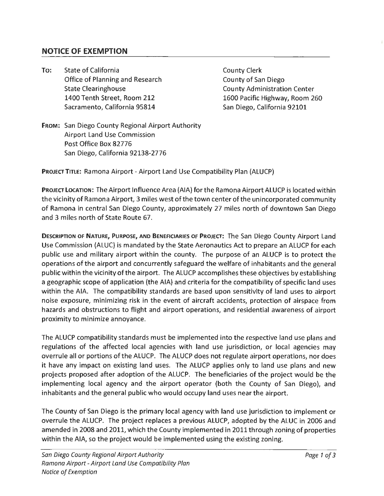## **NOTICE OF EXEMPTION**

**To:** State of California Office of Planning and Research State Clearinghouse 1400 Tenth Street, Room 212 Sacramento, California 95814

County Clerk County of San Diego County Administration Center 1600 Pacific Highway, Room 260 San Diego, California 92101

**FROM:** San Diego County Regional Airport Authority Airport Land Use Commission Post Office Box 82776 San Diego, California 92138-2776

**PROJECT TITLE:** Ramona Airport - Airport Land Use Compatibility Plan {ALUCP)

**PROJECT LOCATION:** The Airport Influence Area {AIA) for the Ramona Airport ALUCP is located within the vicinity of Ramona Airport, 3 miles west of the town center of the unincorporated community of Ramona in central San Diego County, approximately 27 miles north of downtown San Diego and 3 miles north of State Route 67.

DESCRIPTION OF NATURE, PURPOSE, AND BENEFICIARIES OF PROJECT: The San Diego County Airport Land Use Commission (ALUC) is mandated by the State Aeronautics Act to prepare an ALUCP for each public use and military airport within the county. The purpose of an ALUCP is to protect the operations of the airport and concurrently safeguard the welfare of inhabitants and the general public within the vicinity of the airport. The ALUCP accomplishes these objectives by establishing a geographic scope of application (the AIA) and criteria for the compatibility of specific land uses within the AIA. The compatibility standards are based upon sensitivity of land uses to airport noise exposure, minimizing risk in the event of aircraft accidents, protection of airspace from hazards and obstructions to flight and airport operations, and residential awareness of airport proximity to minimize annoyance.

The ALUCP compatibility standards must be implemented into the respective land use plans and regulations of the affected local agencies with land use jurisdiction, or local agencies may overrule all or portions of the ALUCP. The ALUCP does not regulate airport operations, nor does it have any impact on existing land uses. The ALUCP applies only to land use plans and new projects proposed after adoption of the ALUCP. The beneficiaries of the project would be the implementing local agency and the airport operator (both the County of San Diego), and inhabitants and the general public who would occupy land uses near the airport.

The County of San Diego is the primary local agency with land use jurisdiction to implement or overrule the ALUCP. The project replaces a previous ALUCP, adopted by the ALUC in 2006 and amended in 2008 and 2011, which the County implemented in 2011 through zoning of properties within the AIA, so the project would be implemented using the existing zoning.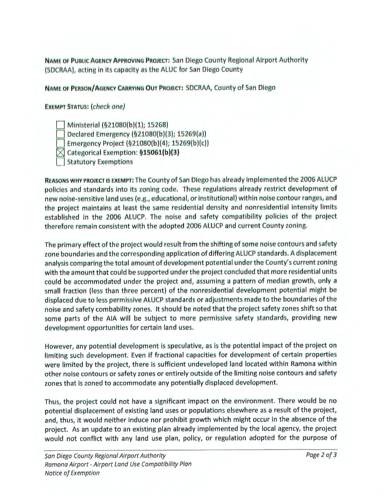NAME OF PUBLIC AGENCY APPROVING PROJECT: San Diego County Regional Airport Authority (SDCRAA), acting in its capacity as the ALUC for San Diego County

NAME OF PERSON/AGENCY CARRYING OUT PROJECT: SDCRAA, County of San Diego

**EXEMPT STATUS: (check one)** 

Ministerial (§21080(b)(1); 15268)

Declared Emergency (§21080(b)(3); 15269(a))

Emergency Project (§21080(b)(4); 15269(b)(c))

 $\boxtimes$  Categorical Exemption: §15061(b)(3)

**Statutory Exemptions** 

REASONS WHY PROJECT IS EXEMPT: The County of San Diego has already implemented the 2006 ALUCP policies and standards into its zoning code. These regulations already restrict development of new noise-sensitive land uses (e.g., educational, or institutional) within noise contour ranges, and the project maintains at least the same residential density and nonresidential intensity limits established in the 2006 ALUCP. The noise and safety compatibility policies of the project therefore remain consistent with the adopted 2006 ALUCP and current County zoning.

The primary effect of the project would result from the shifting of some noise contours and safety zone boundaries and the corresponding application of differing ALUCP standards. A displacement analysis comparing the total amount of development potential under the County's current zoning with the amount that could be supported under the project concluded that more residential units could be accommodated under the project and, assuming a pattern of median growth, only a small fraction (less than three percent) of the nonresidential development potential might be displaced due to less permissive ALUCP standards or adjustments made to the boundaries of the noise and safety combability zones. It should be noted that the project safety zones shift so that some parts of the AIA will be subject to more permissive safety standards, providing new development opportunities for certain land uses.

However, any potential development is speculative, as is the potential impact of the project on limiting such development. Even if fractional capacities for development of certain properties were limited by the project, there is sufficient undeveloped land located within Ramona within other noise contours or safety zones or entirely outside of the limiting noise contours and safety zones that is zoned to accommodate any potentially displaced development.

Thus, the project could not have a significant impact on the environment. There would be no potential displacement of existing land uses or populations elsewhere as a result of the project, and, thus, it would neither induce nor prohibit growth which might occur in the absence of the project. As an update to an existing plan already implemented by the local agency, the project would not conflict with any land use plan, policy, or regulation adopted for the purpose of